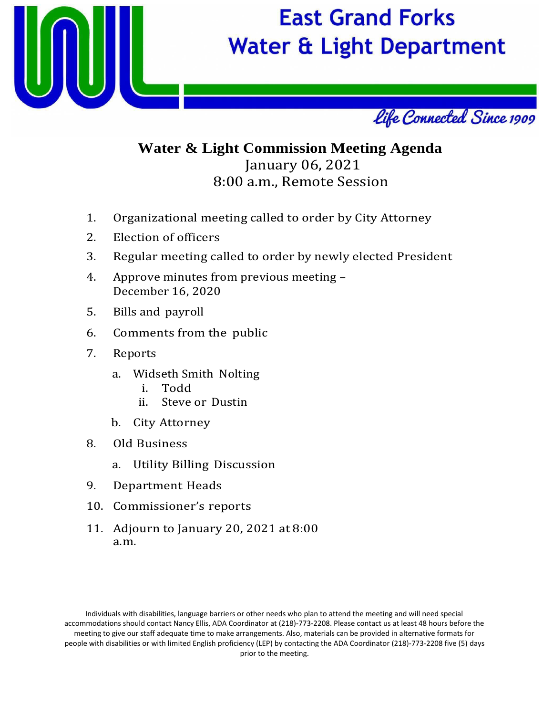

# **East Grand Forks Water & Light Department**



# **Water & Light Commission Meeting Agenda** January 06, 2021 8:00 a.m., Remote Session

- 1. Organizational meeting called to order by City Attorney
- 2. Election of officers
- 3. Regular meeting called to order by newly elected President
- 4. Approve minutes from previous meeting December 16, 2020
- 5. Bills and payroll
- 6. Comments from the public
- 7. Reports
	- a. Widseth Smith Nolting
		- i. Todd
		- ii. Steve or Dustin
	- b. City Attorney
- 8. Old Business
	- a. Utility Billing Discussion
- 9. Department Heads
- 10. Commissioner's reports
- 11. Adjourn to January 20, 2021 at 8:00 a.m.

Individuals with disabilities, language barriers or other needs who plan to attend the meeting and will need special accommodations should contact Nancy Ellis, ADA Coordinator at (218)‐773‐2208. Please contact us at least 48 hours before the meeting to give our staff adequate time to make arrangements. Also, materials can be provided in alternative formats for people with disabilities or with limited English proficiency (LEP) by contacting the ADA Coordinator (218)‐773‐2208 five (5) days prior to the meeting.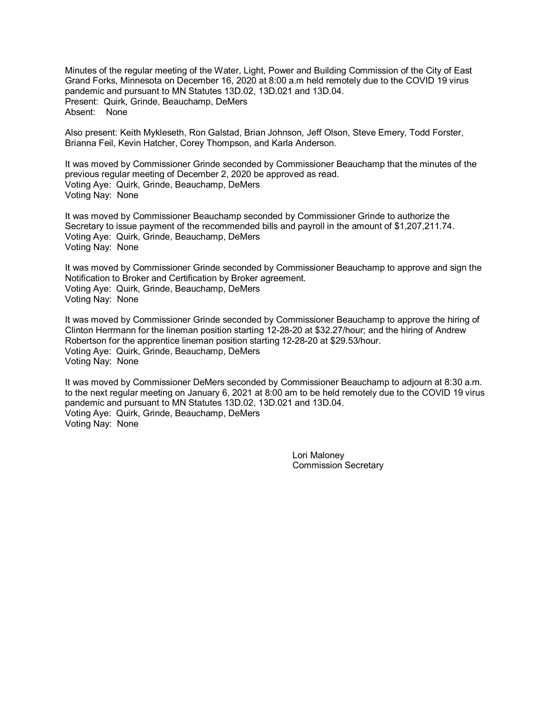Minutes of the regular meeting of the Water, Light, Power and Building Commission of the City of East Grand Forks, Minnesota on December 16, 2020 at 8:00 a.m held remotely due to the COVID 19 virus pandemic and pursuant to MN Statutes 13D.02, 13D.021 and 13D.04. Present: Quirk, Grinde, Beauchamp, DeMers Absent: None

Also present: Keith Mykleseth, Ron Galstad, Brian Johnson, Jeff Olson, Steve Emery, Todd Forster, Brianna Feil, Kevin Hatcher, Corey Thompson, and Karla Anderson.

It was moved by Commissioner Grinde seconded by Commissioner Beauchamp that the minutes of the previous regular meeting of December 2, 2020 be approved as read. Voting Aye: Quirk, Grinde, Beauchamp, DeMers Voting Nay: None

It was moved by Commissioner Beauchamp seconded by Commissioner Grinde to authorize the Secretary to issue payment of the recommended bills and payroll in the amount of \$1,207,211.74. Voting Aye: Quirk, Grinde, Beauchamp, DeMers Voting Nay: None

It was moved by Commissioner Grinde seconded by Commissioner Beauchamp to approve and sign the Notification to Broker and Certification by Broker agreement. Voting Aye: Quirk, Grinde, Beauchamp, DeMers Voting Nay: None

It was moved by Commissioner Grinde seconded by Commissioner Beauchamp to approve the hiring of Clinton Herrmann for the lineman position starting 12-28-20 at \$32.27/hour; and the hiring of Andrew Robertson for the apprentice lineman position starting 12-28-20 at \$29.53/hour. Voting Aye: Quirk, Grinde, Beauchamp, DeMers Voting Nay: None

It was moved by Commissioner DeMers seconded by Commissioner Beauchamp to adjourn at 8:30 a.m. to the next regular meeting on January 6, 2021 at 8:00 am to be held remotely due to the COVID 19 virus pandemic and pursuant to MN Statutes 13D.02, 13D.021 and 13D.04. Voting Aye: Quirk, Grinde, Beauchamp, DeMers Voting Nay: None

> Lori Maloney Commission Secretary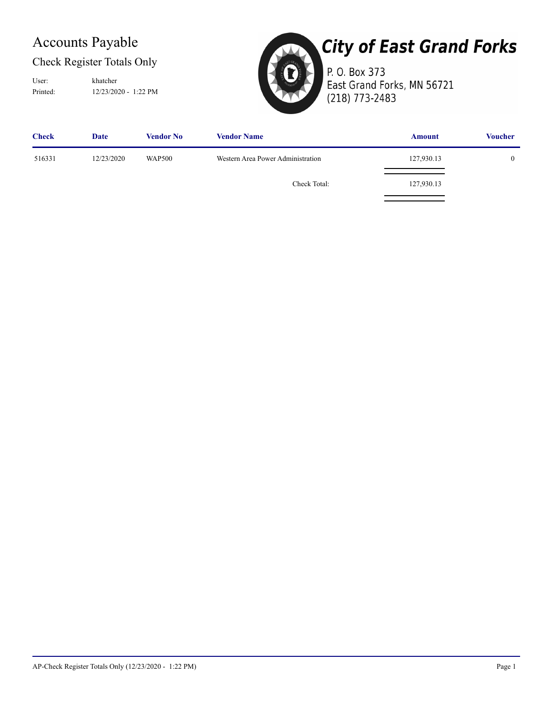## Accounts Payable

#### Check Register Totals Only

Printed: 12/23/2020 - 1:22 PM User: khatcher



# **City of East Grand Forks**

P. O. Box 373 East Grand Forks, MN 56721 (218) 773-2483

| <b>Check</b> | Date       | Vendor No     | <b>Vendor Name</b>                | <b>Amount</b> | <b>Voucher</b> |
|--------------|------------|---------------|-----------------------------------|---------------|----------------|
| 516331       | 12/23/2020 | <b>WAP500</b> | Western Area Power Administration | 127,930.13    | 0              |
|              |            |               | Check Total:                      | 127,930.13    |                |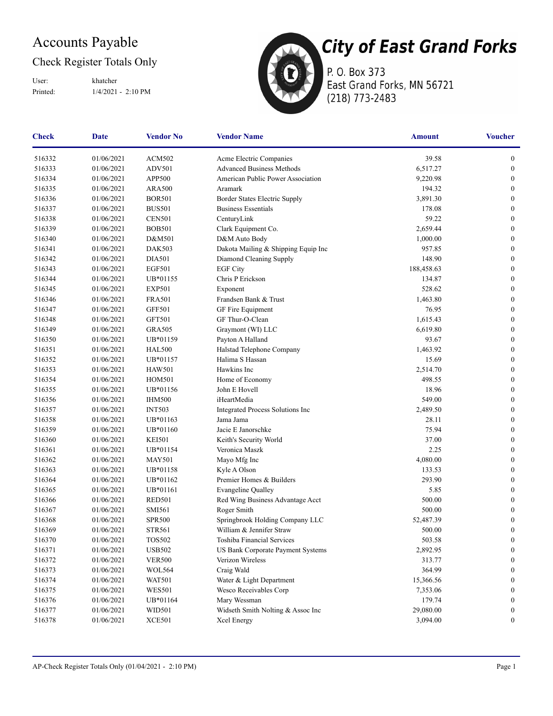## Accounts Payable

#### Check Register Totals Only

Printed: 1/4/2021 - 2:10 PM User: khatcher



P. O. Box 373 East Grand Forks, MN 56721 (218) 773-2483

| <b>Check</b> | <b>Date</b> | <b>Vendor No</b> | <b>Vendor Name</b>                       | <b>Amount</b> | <b>Voucher</b>   |
|--------------|-------------|------------------|------------------------------------------|---------------|------------------|
| 516332       | 01/06/2021  | <b>ACM502</b>    | Acme Electric Companies                  | 39.58         | $\boldsymbol{0}$ |
| 516333       | 01/06/2021  | ADV501           | <b>Advanced Business Methods</b>         | 6,517.27      | $\boldsymbol{0}$ |
| 516334       | 01/06/2021  | APP500           | American Public Power Association        | 9,220.98      | $\boldsymbol{0}$ |
| 516335       | 01/06/2021  | <b>ARA500</b>    | Aramark                                  | 194.32        | $\boldsymbol{0}$ |
| 516336       | 01/06/2021  | <b>BOR501</b>    | Border States Electric Supply            | 3,891.30      | $\boldsymbol{0}$ |
| 516337       | 01/06/2021  | <b>BUS501</b>    | <b>Business Essentials</b>               | 178.08        | $\boldsymbol{0}$ |
| 516338       | 01/06/2021  | <b>CEN501</b>    | CenturyLink                              | 59.22         | $\boldsymbol{0}$ |
| 516339       | 01/06/2021  | <b>BOB501</b>    | Clark Equipment Co.                      | 2,659.44      | $\boldsymbol{0}$ |
| 516340       | 01/06/2021  | D&M501           | D&M Auto Body                            | 1,000.00      | $\boldsymbol{0}$ |
| 516341       | 01/06/2021  | <b>DAK503</b>    | Dakota Mailing & Shipping Equip Inc      | 957.85        | $\boldsymbol{0}$ |
| 516342       | 01/06/2021  | <b>DIA501</b>    | Diamond Cleaning Supply                  | 148.90        | $\boldsymbol{0}$ |
| 516343       | 01/06/2021  | <b>EGF501</b>    | <b>EGF City</b>                          | 188,458.63    | $\boldsymbol{0}$ |
| 516344       | 01/06/2021  | UB*01155         | Chris P Erickson                         | 134.87        | $\boldsymbol{0}$ |
| 516345       | 01/06/2021  | <b>EXP501</b>    | Exponent                                 | 528.62        | $\boldsymbol{0}$ |
| 516346       | 01/06/2021  | <b>FRA501</b>    | Frandsen Bank & Trust                    | 1,463.80      | $\boldsymbol{0}$ |
| 516347       | 01/06/2021  | <b>GFF501</b>    | GF Fire Equipment                        | 76.95         | $\boldsymbol{0}$ |
| 516348       | 01/06/2021  | <b>GFT501</b>    | GF Thur-O-Clean                          | 1,615.43      | $\boldsymbol{0}$ |
| 516349       | 01/06/2021  | <b>GRA505</b>    | Graymont (WI) LLC                        | 6,619.80      | $\boldsymbol{0}$ |
| 516350       | 01/06/2021  | UB*01159         | Payton A Halland                         | 93.67         | $\boldsymbol{0}$ |
| 516351       | 01/06/2021  | <b>HAL500</b>    | Halstad Telephone Company                | 1,463.92      | $\boldsymbol{0}$ |
| 516352       | 01/06/2021  | UB*01157         | Halima S Hassan                          | 15.69         | $\boldsymbol{0}$ |
| 516353       | 01/06/2021  | <b>HAW501</b>    | Hawkins Inc                              | 2,514.70      | $\boldsymbol{0}$ |
| 516354       | 01/06/2021  | <b>HOM501</b>    | Home of Economy                          | 498.55        | $\boldsymbol{0}$ |
| 516355       | 01/06/2021  | UB*01156         | John E Hovell                            | 18.96         | $\bf{0}$         |
| 516356       | 01/06/2021  | <b>IHM500</b>    | iHeartMedia                              | 549.00        | $\boldsymbol{0}$ |
| 516357       | 01/06/2021  | <b>INT503</b>    | Integrated Process Solutions Inc         | 2,489.50      | $\boldsymbol{0}$ |
| 516358       | 01/06/2021  | UB*01163         | Jama Jama                                | 28.11         | $\boldsymbol{0}$ |
| 516359       | 01/06/2021  | UB*01160         | Jacie E Janorschke                       | 75.94         | $\boldsymbol{0}$ |
| 516360       | 01/06/2021  | <b>KEI501</b>    | Keith's Security World                   | 37.00         | $\boldsymbol{0}$ |
| 516361       | 01/06/2021  | UB*01154         | Veronica Maszk                           | 2.25          | $\mathbf{0}$     |
| 516362       | 01/06/2021  | <b>MAY501</b>    | Mayo Mfg Inc                             | 4,080.00      | $\boldsymbol{0}$ |
| 516363       | 01/06/2021  | UB*01158         | Kyle A Olson                             | 133.53        | $\boldsymbol{0}$ |
| 516364       | 01/06/2021  | UB*01162         | Premier Homes & Builders                 | 293.90        | $\boldsymbol{0}$ |
| 516365       | 01/06/2021  | UB*01161         | <b>Evangeline Qualley</b>                | 5.85          | $\boldsymbol{0}$ |
| 516366       | 01/06/2021  | <b>RED501</b>    | Red Wing Business Advantage Acct         | 500.00        | $\boldsymbol{0}$ |
| 516367       | 01/06/2021  | SMI561           | Roger Smith                              | 500.00        | $\boldsymbol{0}$ |
| 516368       | 01/06/2021  | <b>SPR500</b>    | Springbrook Holding Company LLC          | 52,487.39     | $\bf{0}$         |
| 516369       | 01/06/2021  | <b>STR561</b>    | William & Jennifer Straw                 | 500.00        | $\boldsymbol{0}$ |
| 516370       | 01/06/2021  | <b>TOS502</b>    | Toshiba Financial Services               | 503.58        | $\boldsymbol{0}$ |
| 516371       | 01/06/2021  | <b>USB502</b>    | <b>US Bank Corporate Payment Systems</b> | 2,892.95      | $\bf{0}$         |
| 516372       | 01/06/2021  | <b>VER500</b>    | Verizon Wireless                         | 313.77        | $\boldsymbol{0}$ |
| 516373       | 01/06/2021  | WOL564           | Craig Wald                               | 364.99        | $\bf{0}$         |
| 516374       | 01/06/2021  | <b>WAT501</b>    | Water & Light Department                 | 15,366.56     | $\mathbf{0}$     |
| 516375       | 01/06/2021  | <b>WES501</b>    | Wesco Receivables Corp                   | 7,353.06      | $\bf{0}$         |
| 516376       | 01/06/2021  | UB*01164         | Mary Wessman                             | 179.74        | $\mathbf{0}$     |
| 516377       | 01/06/2021  | WID501           | Widseth Smith Nolting & Assoc Inc        | 29,080.00     | $\boldsymbol{0}$ |
| 516378       | 01/06/2021  | <b>XCE501</b>    | Xcel Energy                              | 3,094.00      | $\boldsymbol{0}$ |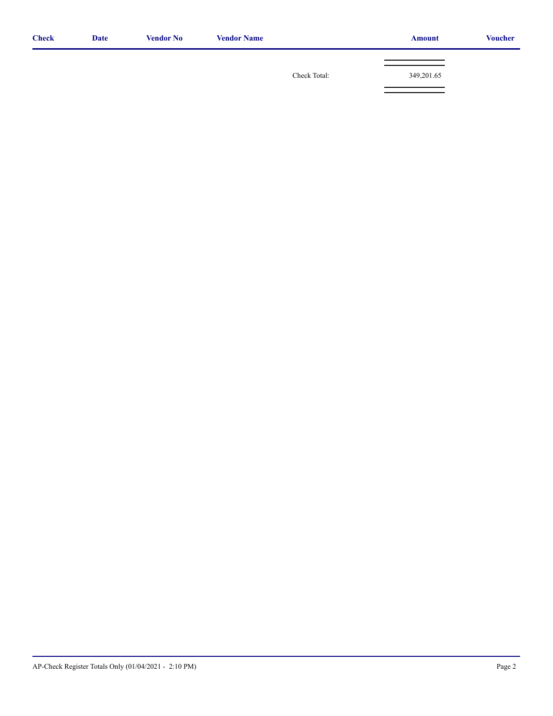| <b>Check</b> | <b>Date</b> | <b>Vendor No</b> | <b>Vendor Name</b> |              | <b>Amount</b> | <b>Voucher</b> |
|--------------|-------------|------------------|--------------------|--------------|---------------|----------------|
|              |             |                  |                    |              |               |                |
|              |             |                  |                    | Check Total: | 349,201.65    |                |
|              |             |                  |                    |              |               |                |
|              |             |                  |                    |              |               |                |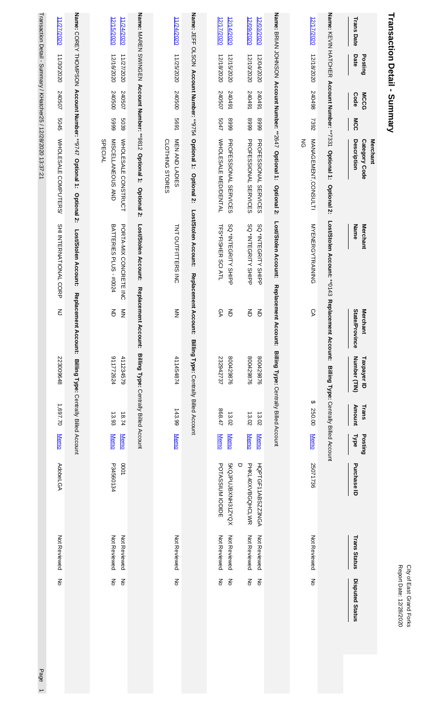|                          | Transaction Detail - Summary            |                     |              |                                                                        |                                                         |                                        |                                                 |                 |                            |                                            |                              | Report Date: 12/28/2020<br>City of East Grand Forks                              |
|--------------------------|-----------------------------------------|---------------------|--------------|------------------------------------------------------------------------|---------------------------------------------------------|----------------------------------------|-------------------------------------------------|-----------------|----------------------------|--------------------------------------------|------------------------------|----------------------------------------------------------------------------------|
| <b>Trans Date</b>        | Date<br>Posting                         | <b>MCCG</b><br>Code | MCC          | <b>Description</b><br>Category Code<br>Merchant                        | <b>Merchant</b><br>Name                                 | State/Province<br><b>Mercl</b><br>hant | Number (TIN)<br>Taxpayer ID                     | Amount<br>Trans | Posting<br><b>Type</b>     | Purchase ID                                | <b>Trans Status</b>          | Disputed Status                                                                  |
|                          |                                         |                     |              | Name: KEVIN HATCHER Account Number: **7331 Optional 1:<br>Optional 2:  | Lost/Stolen Account: ** 0143                            | Replacer<br>ment Account:              | Billing Type: Centrally Billed Account          |                 |                            |                                            |                              |                                                                                  |
| 12/17/2020               | 12/18/2020                              | 867042              | 7392         | MANAGEMENT, CONSULTI<br>$\frac{8}{5}$                                  | <b>MYENERGYTRAINING</b>                                 | δĄ                                     |                                                 | ↔<br>250.00     | <b>Memo</b>                | 25071736                                   | Not Reviewed                 | $\frac{2}{\sigma}$                                                               |
|                          |                                         |                     |              | Name: BRIAN JOHNSON Account Number: **2647 Optional 1: Optional 2:     | Lost/Stolen Account:<br>Replacement                     |                                        | Account: Billing Type: Centrally Billed Account |                 |                            |                                            |                              |                                                                                  |
| 12/09/2020<br>12/03/2020 | 12/10/2020<br>12/04/2020                | 167042<br>167042    | 6668<br>6668 | <b>PROFESSIONAL SERVICES</b><br><b>PROFESSIONAL SERVICES</b>           | SQ *INTEGRITY SHIPP<br>SQ *INTEGRITY SHIPP              | $\overline{5}$<br>증                    | 800429876<br>800429876                          | 13.02<br>13.02  | <b>Memo</b><br><b>Memo</b> | PHKL40XVBGQHCLWR<br>O<br>HQPTGF11ABSZZ3NGA | Not Reviewed<br>Not Reviewed | $\stackrel{\textstyle >}{\textstyle \circ}$<br>$\mathop{\hbox{\bf Z}}\limits_{}$ |
| 12/17/2020<br>12/14/2020 | 12/18/2020<br>12/15/2020                | 240507<br>167042    | 5047<br>6668 | WHOLE SALE MED/DENTAL<br><b>PROFESSIONAL SERVICES</b>                  | SQ *INTEGRITY SHIPP<br>TFS*FISHER SCI ATL               | $\overline{5}$<br>ତ୍ୟ                  | 800429876<br>232942737                          | 17898<br>13.02  | <b>Memo</b><br><b>Memo</b> | XOYS18XNH31ZYOX<br>POTASSIUM IODIDE        | Not Reviewed<br>Not Reviewed | 종<br>$\mathop{\hbox{\bf Z}}$                                                     |
|                          | Name: JEFF OLSON Account Number: **9754 |                     |              | Optional 1:<br>Optional 2:                                             | Lost/Stolen Account:                                    | Replacement Account:                   | Billing Type: Centrally Billed Account          |                 |                            |                                            |                              |                                                                                  |
| 11/24/2020               | 11/25/2020                              | 240500              | 5691         | MEN AND LADIES<br>CLOTHING STORES                                      | TNT OUTFITTERS INC                                      | $\frac{2}{2}$                          | 411454874                                       | 143.99          | <b>Memo</b>                |                                            | Not Reviewed                 | š                                                                                |
|                          |                                         |                     |              | Name: MAREN SWINGEN Account Number: **9812 Optional 1:<br>Optional 2:  | Lost/Stolen Account:                                    | <b>Replacement</b><br><b>Account:</b>  | Billing Type: Centrally Billed Account          |                 |                            |                                            |                              |                                                                                  |
| 12/15/2020<br>11/24/2020 | 12/16/2020<br>11/27/2020                | 240500<br>240507    | 6669<br>5039 | MISCELLANEOUS AND<br>WHOLE SALE CONSTRUCT<br><b>SPECIAL</b>            | <b>BATTERIES PLUS - #0024</b><br>PORTA-MIX CONCRETE INC | 증<br>$\frac{2}{2}$                     | 911772624<br>411234579                          | 13.93<br>18.74  | <b>Memo</b><br><b>Memo</b> | P34560134<br>LOO0                          | Not Reviewed<br>Not Reviewed | š<br>$\mathop{\text{S}}$                                                         |
|                          |                                         |                     |              | Name: COREY THOMPSON Account Number: **9747 Optional 1:<br>Optional 2: | Lost/Stolen Account:                                    | Replacement Account:                   | Billing Type: Centrally Billed Account          |                 |                            |                                            |                              |                                                                                  |
| 11/27/2020               | 11/30/2020                              | 240507              | 5045         | WHOLE SALE COMPUTERS/                                                  | SHI INTERNATIONAL CORP                                  | ξ                                      | 223009648                                       | 1,697.70        | <b>Memo</b>                | <b>AdobeLGA</b>                            | Not Reviewed                 | š                                                                                |

Transaction Detail - Summary / KHatcher25 / 12/28/2020 13:37:21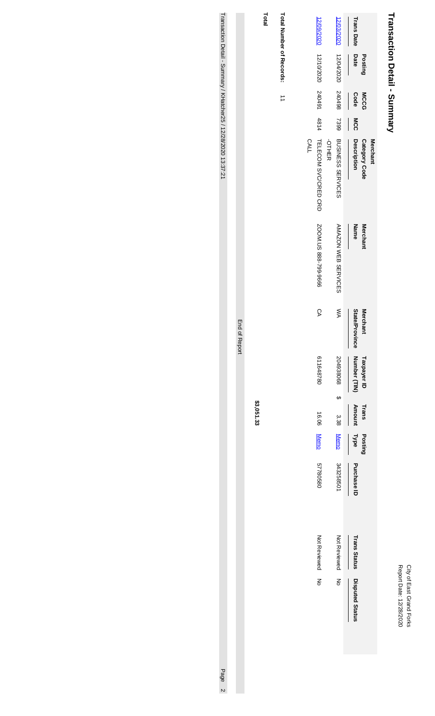| ĭ<br>pate<br>ī<br>ì<br>ì,<br>٤ | ٩<br>Ξ<br>음 |
|--------------------------------|-------------|
|--------------------------------|-------------|

# Transaction Detail - Summary **Transaction Detail - Summary**

|                          |                 |                      |            | <b>Merchant</b>                     |                            |                                          |                             |                        |                        |             |                     |                        |
|--------------------------|-----------------|----------------------|------------|-------------------------------------|----------------------------|------------------------------------------|-----------------------------|------------------------|------------------------|-------------|---------------------|------------------------|
| <b>Trans Date</b>        | Date<br>Posting | Code<br><b>MCCG</b>  | <b>MCC</b> | Description<br><b>Category Code</b> | Name<br>Merchant           | <b>State/Province</b><br><b>Merchant</b> | Number (TIN)<br>Taxpayer ID | <b>Amount</b><br>Trans | <b>Type</b><br>Posting | Purchase ID | <b>Trans Status</b> | <b>Disputed Status</b> |
| 12/03/2020               | 12/04/2020      | 867042               | 7399       | BUSINESS SERVICES                   | <b>AMAZON VEB SERVICES</b> | ⋚                                        | 204938068<br>s<br>S         | 3.38                   | <b>Memo</b>            | 343258501   | Not Reviewed        | z                      |
|                          |                 |                      |            | <b>OTHER</b>                        |                            |                                          |                             |                        |                        |             |                     |                        |
| 12/09/2020               | 12/10/2020      | 240491               | 4814       | TELECOM SVC/CRED CRD                | SOON.US 888-799-9666       | δĄ                                       | 611648780                   | 16.06                  | <b>Memo</b>            | 57780580    | Not Reviewed        | z<br>3                 |
|                          |                 |                      |            | <b>CALL</b>                         |                            |                                          |                             |                        |                        |             |                     |                        |
|                          |                 |                      |            |                                     |                            |                                          |                             |                        |                        |             |                     |                        |
| Total Number of Records: |                 | $\overrightarrow{=}$ |            |                                     |                            |                                          |                             |                        |                        |             |                     |                        |
| Total                    |                 |                      |            |                                     |                            |                                          |                             |                        |                        |             |                     |                        |
|                          |                 |                      |            |                                     |                            |                                          |                             | \$3,051.33             |                        |             |                     |                        |

Transaction Detail - Summary / KHatcher25 / 12/28/2020 13:37:21 Transaction Detail - Summary / KHatcher25 / 12/28/2020 13:37:21 Page 2 Page 2010 13:37:21 Page 2 Page 2010 14:41 Page 2010 13:37:21 Page 2010 14:41 Page 2010 14:41 Page 2010 14:41 Page 2010 14:41 Page 2010 14:41 Page 2010

End of Report

End of Report

Page 2